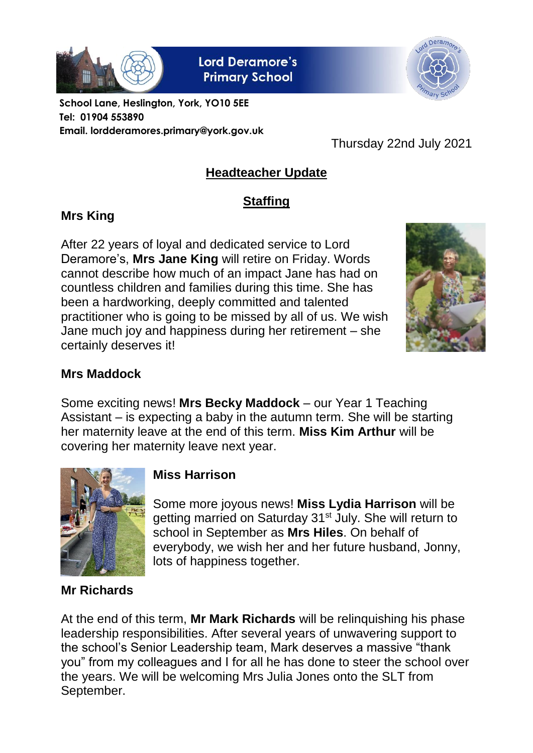

**Lord Deramore's Primary School** 



**School Lane, Heslington, York, YO10 5EE Tel: 01904 553890 Email. lordderamores.primary@york.gov.uk**

Thursday 22nd July 2021

# **Headteacher Update**

# **Staffing**

# **Mrs King**

After 22 years of loyal and dedicated service to Lord Deramore's, **Mrs Jane King** will retire on Friday. Words cannot describe how much of an impact Jane has had on countless children and families during this time. She has been a hardworking, deeply committed and talented practitioner who is going to be missed by all of us. We wish Jane much joy and happiness during her retirement – she certainly deserves it!



## **Mrs Maddock**

Some exciting news! **Mrs Becky Maddock** – our Year 1 Teaching Assistant – is expecting a baby in the autumn term. She will be starting her maternity leave at the end of this term. **Miss Kim Arthur** will be covering her maternity leave next year.



### **Miss Harrison**

Some more joyous news! **Miss Lydia Harrison** will be getting married on Saturday 31<sup>st</sup> July. She will return to school in September as **Mrs Hiles**. On behalf of everybody, we wish her and her future husband, Jonny, lots of happiness together.

### **Mr Richards**

At the end of this term, **Mr Mark Richards** will be relinquishing his phase leadership responsibilities. After several years of unwavering support to the school's Senior Leadership team, Mark deserves a massive "thank you" from my colleagues and I for all he has done to steer the school over the years. We will be welcoming Mrs Julia Jones onto the SLT from September.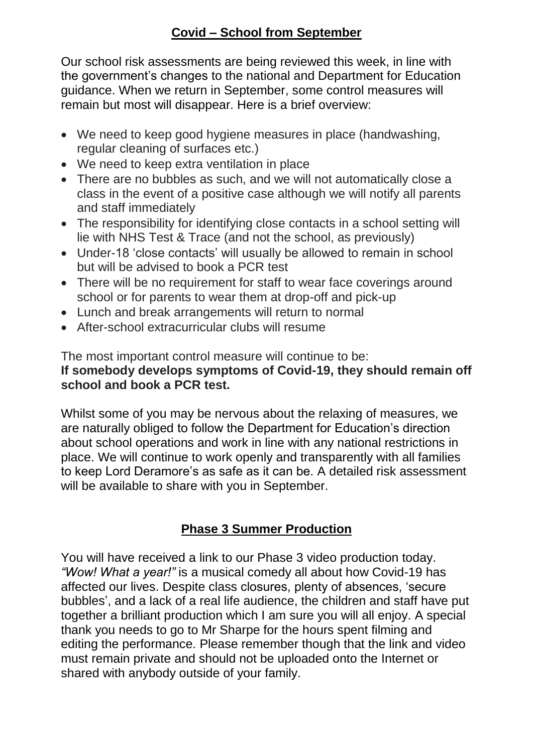#### **Covid – School from September**

Our school risk assessments are being reviewed this week, in line with the government's changes to the national and Department for Education guidance. When we return in September, some control measures will remain but most will disappear. Here is a brief overview:

- We need to keep good hygiene measures in place (handwashing, regular cleaning of surfaces etc.)
- We need to keep extra ventilation in place
- There are no bubbles as such, and we will not automatically close a class in the event of a positive case although we will notify all parents and staff immediately
- The responsibility for identifying close contacts in a school setting will lie with NHS Test & Trace (and not the school, as previously)
- Under-18 'close contacts' will usually be allowed to remain in school but will be advised to book a PCR test
- There will be no requirement for staff to wear face coverings around school or for parents to wear them at drop-off and pick-up
- Lunch and break arrangements will return to normal
- After-school extracurricular clubs will resume

The most important control measure will continue to be:

#### **If somebody develops symptoms of Covid-19, they should remain off school and book a PCR test.**

Whilst some of you may be nervous about the relaxing of measures, we are naturally obliged to follow the Department for Education's direction about school operations and work in line with any national restrictions in place. We will continue to work openly and transparently with all families to keep Lord Deramore's as safe as it can be. A detailed risk assessment will be available to share with you in September.

### **Phase 3 Summer Production**

You will have received a link to our Phase 3 video production today. *"Wow! What a year!"* is a musical comedy all about how Covid-19 has affected our lives. Despite class closures, plenty of absences, 'secure bubbles', and a lack of a real life audience, the children and staff have put together a brilliant production which I am sure you will all enjoy. A special thank you needs to go to Mr Sharpe for the hours spent filming and editing the performance. Please remember though that the link and video must remain private and should not be uploaded onto the Internet or shared with anybody outside of your family.